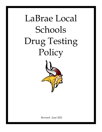# LaBrae Local Schools Drug Testing Policy



Revised: June 2021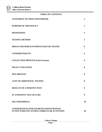# **TABLE OF CONTENTS**

| <b>STATEMENT OF NEED AND PURPOSE</b>                                                          | $\overline{2}$ |
|-----------------------------------------------------------------------------------------------|----------------|
| <b>PURPOSE OF THIS POLICY</b>                                                                 | $\overline{2}$ |
| <b>DEFINITIONS</b>                                                                            | 3              |
| <b>TESTING METHOD</b>                                                                         | 5              |
| <b>DRUGS FOR WHICH STUDENTS MAY BE TESTED</b>                                                 | 6              |
| <b>CONFIDENTIALITY</b>                                                                        | 6              |
| <b>COLLECTION PROCESS (Urine Screens)</b>                                                     | 6              |
| <b>POLICY VIOLATION</b>                                                                       | 8              |
| <b>DUE PROCESS</b>                                                                            | 8              |
| <b>COST OF ADDITIONAL TESTING</b>                                                             | 8              |
| <b>RESULTS OF A POSITIVE TEST</b>                                                             | 9              |
| IF A POSITIVE TEST OCCURS                                                                     | 9              |
| <b>SELF-REFERRALS</b>                                                                         | 10             |
| <b>CONSEQUENCES FOR STUDENTS PARTICIPATING</b><br>IN NON-ATHLETIC EXTRA-CURRICULAR ACTIVITIES | 10             |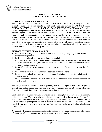

# **DRUG TESTING POLICY LABRAE LOCAL SCHOOL DISTRICT**

# **STATEMENT OF NEED AND PURPOSE:**

The LABRAE LOCAL SCHOOL DISTRICT Board of Education Drug Testing Policy was formed because of a concern that alcohol and illicit drugs may be used by LABRAE LOCAL SCHOOL DISTRICT students. The LABRAE LOCAL SCHOOL DISTRICT Board of Education desires to implement a policy which will attempt to provide this district with a safe and healthful student program. This policy reflects the LABRAE LOCAL SCHOOL DISTRICT Board of Education and the community's strong commitment to establish a truly drug and alcohol free school program. Because of the pervasive nature of drug use in our local schools, LABRAE LOCAL SCHOOL DISTRICT have selected student athletes, students who participate in competitive extra-curricular activities and students who, along with consent from their parents, volunteer to be tested, for inclusion in the testing pool. This policy applies to all athletes, volunteers and extracurricular activities from grades 7-12.

# **PURPOSE OF THIS POLICY SHALL BE:**

- 1. To provide a healthy and safe environment to all students participating in the athletic and extracurricular program.
- 2. To discourage all students from using drugs and alcohol.
	- a. Students will assume all responsibility for regulating their personal lives in ways that will result in their becoming healthful members of a team and worthy representatives of the school and community.
- 3. To provide students with the opportunity to become leaders in the student body for a drug free school.
- 4. To provide solutions for the student who does use drugs and alcohol.
- 5. To provide the school with positive guidelines and disciplinary policies for violations of the drug free policy.
- 6. To encourage those students who participate in athletic and extracurricular programs to remain drug free and alcohol free.

The program does not affect the current policies, practices, or rights of the District regarding student drug and/or alcohol possession or use, where reasonable suspicion by means other than drug testing through this policy. The drug testing policy is non punitive.

Students involved in extra-curricular activities need to be exemplary in the eyes of the community and other students. The drug testing and education policy is designed to create a safe, drug free environment for students and assist them in getting help when needed. Although students risk the loss of continued participation in extra-curricular activities, no student shall be suspended or expelled from school as a result of a certified "positive" test conducted by his/her school under this program.

No student will be penalized academically for testing positive for banned substances. The results of drug tests will not be documented in any student's academic records.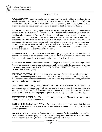

# **DEFINITIONS**

**ADULTERATION** - Any attempt to alter the outcome of a test by adding a substance to the sample, attempting to switch the sample, or otherwise interfere with the detection of illicit or banned substances in the urine, hair or saliva including purposely over-hydrating oneself in an attempt to dilute the urine to decrease possible detection of illicit or banned substances.

**ALCOHOL -** Any intoxicating liquor, beer, wine, mixed beverage, or malt liquor beverage as defined in the Ohio Revised Code Section 4301.01. The term "alcoholic beverage" includes any liquid or substance, such as "near beer" which contains alcohol in any proportion or percentage. The term "alcoholic beverage" does not include a substance used for medical purposes in accordance with directions for use provided in a prescription or by the manufacturer and in accordance with school district policy and rules related to the use of prescription and nonprescription drugs, provided the substance is a) authorized by a medical prescription from a licensed physician and kept in the original container, which shall state the student<sup>1</sup>s name and directions for use or b) an over-the-counter medicine.

**ASSESSMENT AND FOLLOW-UP PROGRAM** - A program operated by a certified chemical dependency counselor or any agency certified by the Ohio Department of Alcohol and Drug Addiction Services, or a licensed physician trained in chemical dependency.

**ATHLETIC SEASON -** In-season start dates will begin as published by the Ohio High School Athletic Association or sanctioning organization and continue until the completion of awards program for that sport for the LABRAE LOCAL SCHOOL DISTRICT. There are three athletic seasons: Fall, Winter, Spring.

**CHAIN OF CUSTODY** - The methodology of tracking specified materials or substances for the purpose of maintaining control and accountability from initial collection to the final disposition for all such materials and providing for accountability at each stage of handling, testing, and storing specimens and reporting test results.

**CONFIRMATION TEST, CONFIRMED TEST, OR CONFIRMED DRUG TEST** - A second analytical procedure used to identify the presence of a specific drug or metabolite in a specimen, which test must be different in scientific principle from that of the initial test procedure and must be capable of providing requisite specificity, sensitivity, and quantitative accuracy.

**DESIGNATED OFFICIAL** – The individual designated by the District to oversee the drug testing program on behalf of the District.

**EXTRA-CURRICULAR ACTIVITY -** Any activity of a competitive nature that does not involve a grade. Parking privileges will also be defined as an extra-curricular activity for purposes of these guidelines.

**FOCUSED SELECTION** - A mechanism for selecting students for drug/alcohol testing in which each student in a particular group shall be selected for testing when selections are made. Examples may include males, females, freshmen, sophomores, juniors, and/or seniors.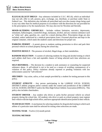

**ILLEGAL/ILLICIT DRUGS -** Any substance included in U.S.C. 802 (6), which an individual may not sell, offer to sell, possess, give, exchange, use, distribute, or purchase under State or Federal Law. This definition also includes all prescribed and over-the-counter drugs being used in any way other than for medical purposes in accordance with the directions for use provided for in the prescription or by the manufacturer. We may also test for Nicotine and Steroids.

**MOOD-ALTERING CHEMICALS** - Includes without limitation, narcotics, depressants, stimulants, hallucinogens, counterfeit drugs, marijuana, alcohol, and any common substance such as "white out", glue, gasoline, etc., used for a mood altering effect. Prescription drugs are also included, unless authorized by a medical prescription from a licensed physician and kept in the original container, which states the student's name and directions for proper use.

**PARKING PERMIT** – A permit given to students seeking permission to drive and park their personal vehicle on school property during the school day.

**POSITIVE RESULT** - The presence of alcohol, illegal drugs, or their metabolites.

**RANDOM SELECTION -** A system of selecting students for drug and alcohol testing in which each athlete shall have a fair and equitable chance of being selected each time selections are required.

**SELF-REFERRAL –** The decision by a student to seek assistance or counseling for suspected substance abuse. A self-referral is not to be used as a means of avoiding consequences of a violation of this policy. Policy violations already reported or pending violations with law enforcement cannot be "self-referred."

**SPECIMEN** - Any urine, saliva, or hair sample provided by a student for testing pursuant to this policy.

**STUDENT ATHLETE** - Any person participating in the LABRAE LOCAL SCHOOL DISTRICT athletic program and/or contests under the control and jurisdiction of the LABRAE LOCAL SCHOOL DISTRICT and/or the Ohio High School Athletic Association (OHSAA). This policy also includes cheerleaders.

**STUDENT DRIVER** – Any student who drives or parks his/her personal vehicle on school property during the school day. All students who drive or park on school property must register their vehicle with the high school office, and have appropriate identification posted in their vehicle.

**TEAM SELECTION** - A mechanism for selecting students for drug/alcohol testing in which each athlete of a particular team shall be selected for testing when selections are made.

**TESTING YEAR** – Twelve (12) month period.

**TESTING METHOD**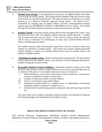

- A. **Baseline/Team Testing:** At the beginning of each season, all eligible students will submit to urine drug and alcohol testing. This testing will be completed within the first few weeks of the season on a specified date and time. The collection process will take place on school property or at a Board of Education approved testing facility. The Head Coach is responsible for ensuring that all student athletes and their parent/guardian/custodian properly sign the INFORMED CONSENT AGREEMENT prior to testing. Any student moving into the District shall be tested prior to the time he/she joins the team.
- B. **Random Testing:** In-session random testing shall be done throughout the season. Each team may have up to 20% of its eligible students tested per random selection. A student may be tested more than once per season. In the event of a positive result, the specimen will be sent to a laboratory for confirmation of results and a certified Medical Review Officer will determine the results.

The Athletic Director, under the Principal<sup>1</sup>s supervision, will use a system to ensure that students are selected in a random fashion. This system may include computer generated random numbers or names or by pulling numbers from a pool of numbers equal to the number of eligible students.

- C. **Scheduling of random testing:** Random testing will be unannounced. The day and date will be selected by the Athletic Director and confirmed with the building administrator. Random testing may be done weekly.
- D. **Reasonable Suspicion Testing Guidelines:** Reasonable suspicion testing occurs when the District has reason to suspect a student athlete or an extra-curricular participant may be in violation of this policy. A reasonable suspicion test may occur based on:
	- I. Observed behavior, such as direct observation of drug, alcohol use, or possession, or physical symptoms of drug or alcohol abuse
	- II. A pattern of abnormal conduct or erratic behavior
	- III. Arrest or conviction for drug related offense
	- IV. Information provided either by a credible source or independently corroborated regarding a student's substance or alcohol use; or
	- V. Evidence that the student being tested has tampered with a previous drug or alcohol test.

Any observation used to support reasonable suspicion testing is documented in writing by the Principal/designee and maintained in the student's record.

# **DRUGS FOR WHICH STUDENTS MAY BE TESTED**

LSD, Alcohol, Marijuana, Amphetamines, Methadone, Anabolic Steroids, Methaqualone, Barbiturates, Nicotine (Tobacco), Benzodiazepines, Opiates, Cocaine, Propoxyphene (Darvon), or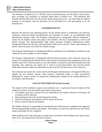

Any substance included in U.S.C. 802 (6), which an individual may not sell, offer to sell, possess, give, exchange, use, distribute, or purchase under State or Federal Law. This definition also includes all prescribed and over-the-counter drugs being used in any way other than for medical purposes in accordance with the directions for use provided for in the prescription or by the manufacturer.

## **CONFIDENTIALITY**

Because the selection and reporting process for the student tested is confidential, the selection, collection, chain-of-custody documentation and reporting of results are accomplished using identification number codes. The Program Administrator or Designated Official establishes a master list of student's names and unique code numbers. The list is maintained in a secure and locked location. The Superintendent, high school principal, Program Administrator and/or Designated Official are the only school personnel with access to the list. These code numbers are used to select the pool to be tested for random testing.

The Program Administrator or Designated Official coordinates the scheduling of students for the collection of urine samples or saliva samples.

The Program Administrator or Designated Official shall be present at the collection site for the purpose of coordinating the identification of the student to be tested and the assignment of the code number master list. From that point on, the code number is utilized for specimen identification and reporting. The collection site master list is used to record prescription and over-the-counter medications that the student has identified as used in the five (5) days prior to the collection.

The collection site master list is then used by the Program Administrator or Designated Official to identify the test student's parents when positive, confirmed results or when inconclusive adulterated or suspect results are reported by identification number by the testing laboratory in accordance with this policy.

# **COLLECTION PROCESS (Urine Screens)**

The student will be notified to report to the collection site. A specimen from the student will be collected as follows and all students must follow this process:

- 1. All students must have a picture ID or be identified by the Athletic Director or Principal. No exceptions will be allowed.
- 2. Drug testing area must be secured during the testing.
- 3. Only lab technicians and students will be witness to the test.
- 4. Privacy must be kept for all students.

The Athletic Director is responsible for ensuring that all of the forms are completed and signed by both parent/guardian/custodian and student. No student is to enter the collection site until forms, money and proper ID are completed.

When students arrive and cannot give a sample, they will need to start drinking water, pop or juice. After 36 oz. the human body will need to urinate.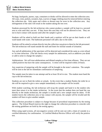No bags, backpacks, purses, cups, containers or drinks will be allowed to enter the collection area. All coats, vests, jackets, sweaters, hats, scarves or baggy clothing must be removed before entering the collection site. Only pants and t-shirts or dresses may be worn in the collection area. Any infringement of the rules will result in the student taking the test over.

Students processed by the lab technician who cannot produce a sample will be kept in a secured area to wait until they can test. If they leave this area they will not be allowed to test. They are not to have contact with anyone until after the sample is given.

Students will be asked to hold out their hands and a sanitizer will be put on their hands or will wash hands with water. The bathroom personnel will add a dye to the toilet.

Students will be asked to urinate directly into the collection cup given to them by the lab personnel. The lab technician will stand outside the stall and listen for normal sounds of urination.

Any and all adulteration of the specimen will be detected and considered the same as a test refusal or 1st time infraction. (The lab checks every sample for adulteration, such as additives you drink or add to urine to change the sample.)

Adulterations: We will treat adulterations and diluted samples as first time offenses. They are not called positives but have the same consequences. A retest will be required within 24 hours.

Any suspicion of tampering with the sample will be brought to the tester's attention. The sample will be sent to the lab for immediate confirmation of tampering.

The sample must be taken in one attempt and be at least 30 ml in size. The student must hand the cup to the lab technician.

Students are not to flush the toilets or urinals. In the event that a student flushes the toilet he or she will be required to give a new sample immediately or the sample will be invalid.

With student watching, the lab technician will recap the sample and hand it to the student who must then return it to the intake technician. In the event that the student does not hand the cup directly to the intake technician, the sample is invalid and a new sample must be taken. If the student leaves the collection area or has contact with anyone, the sample will be invalid and the student will have to give another sample.

This collection procedure is subject to change because of procedural requirements by the testing agency. The School Board reserves the right to change the collection procedure to coincide with the testing guidelines set forth by the testing agency.

When using rapid screens, all non-negative screens will be sent out with a chain of custody to a certified laboratory for confirmation. A Certified Medical Review Officer will verify the positive test.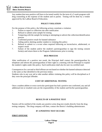

Any student that tests positive will have to be tested weekly for the term of a 5 week program with drug counseling at the expense of the student and or parent. Testing will be done by a vendor approved by the LaBrae Board of Education.

# **POLICY VIOLATION**

For the purpose of this policy, the following actions constitute a violation:

- 1. Failure to report to collection site after notification
- 2. Refusal to submit urine sample for testing
- 3. Tampering with the sample for testing or attempting to subvert the collection/identification process
- 4. Confirmed positive result for banned substance
- 5. Aiding and/or abetting another student in violating this policy
- 6. Refusal to submit to a re-test when required following an inconclusive, adulterated, or suspect result
- 7. Failure of the student and/or the student's parent/guardian to sign the testing consent form(s) and return them to the Program Administrator prior to testing

### **DUE PROCESS**

After notification of a positive test result, the Principal shall contact the parent/guardian by telephone and inform the parent/guardian of their right to a meeting with the Principal to explain the student's rights under this policy. Such notification shall also be sent via certified mail.

Consequences for a second or third offense are not based on whether the banned substance detected is the same as that identified in the previous test(s).

Students who in any way aid or abet another athlete violating this policy will be disciplined as if they were the principal offender.

### **COST OF ADDITIONAL TESTING**

Once a student athlete or extra-curricular participant has had a positive test confirmed, any and all additional test or resulted costs are the responsibility of the student and his/her parent/guardian.

### **RESULTS OF A POSITIVE TEST**

Parents will be notified of the results any positive urine drug test results directly from the drug testing company. The drug company will then, contact the district's building administrator.

### **IF A POSITIVE TEST OCCURS**

### **FIRST OFFENSE**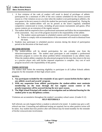

- 1. A first violation of the code of conduct will result in denial of privileges of athletic participation for a minimum of 20% of the next contests scheduled for the season (current season or, if the violation occurs at a time when the student is not participating in athletics, the next games in the next season in which the student has previously participated in). During the suspensions, the student-athlete will not be present at the team's regularly scheduled competitive contests/and or events, including all post-season tournaments and games. (Post season contests are an extension of the regular season).
- 2. The student shall be required to have a professional assessment and follow the recommendation of the assessment. Any cost of the program incurred is the responsibility of the athlete.
	- A. The student cannot participate in scheduled contests until the assessment is complete.
	- B. Failure to comply with recommendation of the assessment will result in dismissal from the team.
- 3. Students may participate in scheduled practice sessions during the denial of participation period at the discretion of the head coach.

# **SECOND OFFENSE**

1. The student-athlete will be denied participation for one calendar year from the infraction/suspension date. The student must participate in and complete a professional education program to correct the abuse problem before reinstatement to any athletic team. When the student-athlete completes the educational program he/she may then return to the tem as a practice player only until his/her imposed suspension is complete. Any cost of such program incurred is the responsibility of the parent.

# **THIRD OFFENSE**

The student shall forfeit the remaining eligibility to participate in all LaBrae Schools athletic programs for the remainder of their high school career.

### **NOTES:**

- **1. Any participant excluded for the remainder of any sport's season forfeits his/her right to any athletic award and awards' program.**
- **2. With any suspension from athletic participation the student-athlete must maintain membership on the team through the last regular season contest or the penalty/suspension will be assessed during the next sport season.**
- **3. The High School Principal will conduct an investigation and an informal hearing for the student prior to any disciplinary actions.**

Violations are accumulative throughout the student's secondary school career. (Grades 9-12) **SELF-REFERRALS**

Self referrals can only happen before a student is selected to be tested. A student may give a selfreferral one time. Counseling and additional testing are required, but no other punitive action will be taken. Any student that tests positive after self-referral may be tested monthly for the reminder of his/her extracurricular involvement.